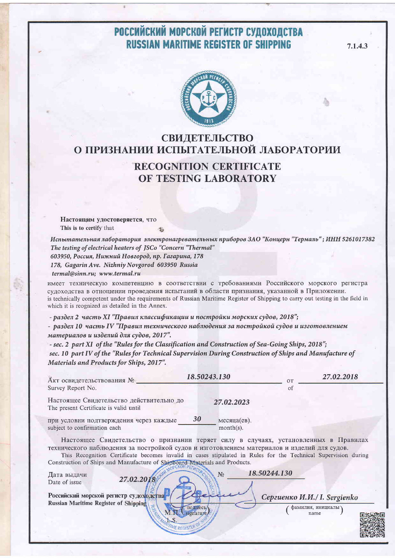## РОССИЙСКИЙ МОРСКОЙ РЕГИСТР СУДОХОДСТВА **RUSSIAN MARITIME REGISTER OF SHIPPING**

7.1.4.3



### СВИДЕТЕЛЬСТВО О ПРИЗНАНИИ ИСПЫТАТЕЛЬНОЙ ЛАБОРАТОРИИ

#### **RECOGNITION CERTIFICATE** OF TESTING LABORATORY

Настоящим удостоверяется, что This is to certify that

Испытательная лаборатория электронагревательных приборов ЗАО "Концерн "Термаль"; ИНН 5261017382 The testing of electrical heaters of JSCo "Concern "Thermal" 603950, Россия, Нижний Новгород, пр. Гагарина, 178 178, Gagarin Ave. Nizhniy Novgorod 603950 Russia termal@sinn.ru; www.termal.ru

имеет техническую компетенцию в соответствии с требованиями Российского морского регистра судоходства в отношении проведения испытаний в области признания, указанной в Приложении. is technically competent under the requirements of Russian Maritime Register of Shipping to carry out testing in the field in which it is reognized as detailed in the Annex.

- раздел 2 часть XI "Правил классификации и постройки морских судов, 2018";

- раздел 10 часть IV "Правил технического наблюдения за постройкой судов и изготовлением материалов и изделий для судов, 2017".

- sec. 2 part XI of the "Rules for the Classification and Construction of Sea-Going Ships, 2018"; sec. 10 part IV of the "Rules for Technical Supervision During Construction of Ships and Manufacture of Materials and Products for Ships, 2017".

| Акт освидетельствования №                                                                                                                                                                                                                                                                       | 18.50243.130                      | <b>OT</b> | 27.02.2018 |
|-------------------------------------------------------------------------------------------------------------------------------------------------------------------------------------------------------------------------------------------------------------------------------------------------|-----------------------------------|-----------|------------|
| Survey Report No.                                                                                                                                                                                                                                                                               |                                   | οt        |            |
| Настоящее Свидетельство действительно до<br>The present Certificate is valid until                                                                                                                                                                                                              | 27.02.2023                        |           |            |
| при условии подтверждения через каждые<br>subject to confirmation each                                                                                                                                                                                                                          | 30<br>месяца(ев).<br>$month(s)$ . |           |            |
| Настоящее Свидетельство о признании теряет силу в случаях, установленных в Правилах<br>технического наблюдения за постройкой судов и изготовлением материалов и изделий для судов.<br>This December (Clifford trackers included) and afterdard in Dairly for the Training Constability district |                                   |           |            |

This Recognition Certificate becomes invalid in cases stipulated in Rules for the Technical Supervision during Construction of Shins and Manufacture of Shinboard Materials and Products

| Дата выдачи<br>Date of issue                                                           | 27.02.2018 | 18.50244.130<br>No           |  |
|----------------------------------------------------------------------------------------|------------|------------------------------|--|
| Российский морской регистр судоходства<br><b>Russian Maritime Register of Shipping</b> |            | Сергиенко И.И./ I. Sergienko |  |
|                                                                                        |            | фамилия, инициалы<br>name    |  |

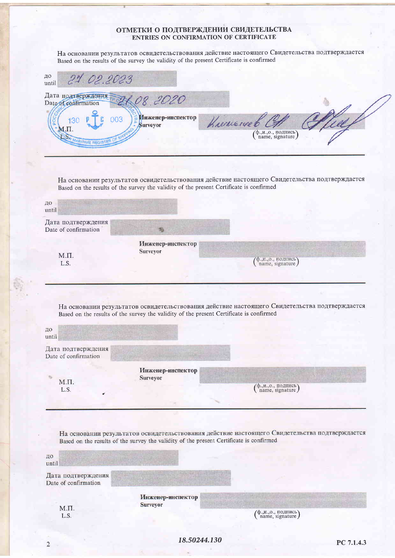# **ОТМЕТКИ О ПОДТВЕРЖДЕНИИ СВИДЕТЕЛЬСТВА**<br>ENTRIES ON CONFIRMATION OF CERTIFICATE

На основании результатов освидетельствования действие настоящего Свидетельства подтверждается Based on the results of the survey the validity of the present Certificate is confirmed

| 21.02.2023                           |                                                                                                                                                                                                           |
|--------------------------------------|-----------------------------------------------------------------------------------------------------------------------------------------------------------------------------------------------------------|
| Дата подтверждения                   |                                                                                                                                                                                                           |
| Инженер-инспектор<br>003<br>Surveyor | Kreinengeb<br>(ф.,и.,о., подпись)<br>name, signature)                                                                                                                                                     |
|                                      |                                                                                                                                                                                                           |
|                                      |                                                                                                                                                                                                           |
|                                      | На основании результатов освидетельствования действие настоящего Свидетельства подтверждается                                                                                                             |
|                                      |                                                                                                                                                                                                           |
|                                      |                                                                                                                                                                                                           |
|                                      |                                                                                                                                                                                                           |
| Инженер-инспектор                    |                                                                                                                                                                                                           |
|                                      | $\binom{\phi_{\cdot}, \mu_{\cdot}, o_{\cdot}, \eta_{\cdot}, \eta_{\cdot}}{\text{name, signature}}$                                                                                                        |
|                                      |                                                                                                                                                                                                           |
|                                      |                                                                                                                                                                                                           |
|                                      | На основании результатов освидетельствования действие настоящего Свидетельства подтверждается                                                                                                             |
|                                      |                                                                                                                                                                                                           |
|                                      |                                                                                                                                                                                                           |
|                                      |                                                                                                                                                                                                           |
|                                      |                                                                                                                                                                                                           |
| Инженер-инспектор                    |                                                                                                                                                                                                           |
| Surveyor                             | $\binom{\phi_{\cdot,\text{M.},\text{O.}}}{\text{name, signature}}$                                                                                                                                        |
|                                      | 08.2020<br>Based on the results of the survey the validity of the present Certificate is confirmed<br>Surveyor<br>Based on the results of the survey the validity of the present Certificate is confirmed |

ДО until Дата подтверждения Date of confirmation Инженер-инспектор **Surveyor**  $M.\Pi.$  $\left( \begin{smallmatrix} \phi_{\cdot,\text{H.},\text{O.}},\text{no}\text{mucb}\\ \text{name},\text{signature} \end{smallmatrix} \right)$ L.S.

 $\overline{2}$